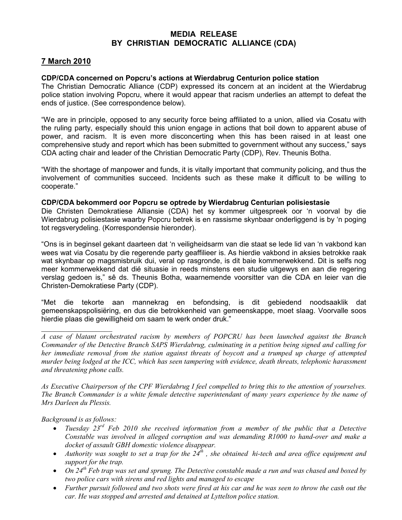## MEDIA RELEASE BY CHRISTIAN DEMOCRATIC ALLIANCE (CDA)

## 7 March 2010

## CDP/CDA concerned on Popcru's actions at Wierdabrug Centurion police station

The Christian Democratic Alliance (CDP) expressed its concern at an incident at the Wierdabrug police station involving Popcru, where it would appear that racism underlies an attempt to defeat the ends of justice. (See correspondence below).

"We are in principle, opposed to any security force being affiliated to a union, allied via Cosatu with the ruling party, especially should this union engage in actions that boil down to apparent abuse of power, and racism. It is even more disconcerting when this has been raised in at least one comprehensive study and report which has been submitted to government without any success," says CDA acting chair and leader of the Christian Democratic Party (CDP), Rev. Theunis Botha.

"With the shortage of manpower and funds, it is vitally important that community policing, and thus the involvement of communities succeed. Incidents such as these make it difficult to be willing to cooperate."

## CDP/CDA bekommerd oor Popcru se optrede by Wierdabrug Centurian polisiestasie

Die Christen Demokratiese Alliansie (CDA) het sy kommer uitgespreek oor 'n voorval by die Wierdabrug polisiestasie waarby Popcru betrek is en rassisme skynbaar onderliggend is by 'n poging tot regsverydeling. (Korrespondensie hieronder).

"Ons is in beginsel gekant daarteen dat 'n veiligheidsarm van die staat se lede lid van 'n vakbond kan wees wat via Cosatu by die regerende party geaffilieer is. As hierdie vakbond in aksies betrokke raak wat skynbaar op magsmisbruik dui, veral op rasgronde, is dit baie kommerwekkend. Dit is selfs nog meer kommerwekkend dat dié situasie in reeds minstens een studie uitgewys en aan die regering verslag gedoen is," sê ds. Theunis Botha, waarnemende voorsitter van die CDA en leier van die Christen-Demokratiese Party (CDP).

"Met die tekorte aan mannekrag en befondsing, is dit gebiedend noodsaaklik dat gemeenskapspolisiëring, en dus die betrokkenheid van gemeenskappe, moet slaag. Voorvalle soos hierdie plaas die gewilligheid om saam te werk onder druk."

*As Executive Chairperson of the CPF Wierdabrug I feel compelled to bring this to the attention of yourselves. The Branch Commander is a white female detective superintendant of many years experience by the name of Mrs Darleen du Plessis.* 

*Background is as follows:* 

 $\overline{\phantom{a}}$  , where  $\overline{\phantom{a}}$ 

- *Tuesday 23rd Feb 2010 she received information from a member of the public that a Detective Constable was involved in alleged corruption and was demanding R1000 to hand-over and make a docket of assault GBH domestic violence disappear.*
- *Authority was sought to set a trap for the 24th , she obtained hi-tech and area office equipment and support for the trap.*
- *On 24th Feb trap was set and sprung. The Detective constable made a run and was chased and boxed by two police cars with sirens and red lights and managed to escape*
- *Further pursuit followed and two shots were fired at his car and he was seen to throw the cash out the car. He was stopped and arrested and detained at Lyttelton police station.*

*A case of blatant orchestrated racism by members of POPCRU has been launched against the Branch Commander of the Detective Branch SAPS Wierdabrug, culminating in a petition being signed and calling for her immediate removal from the station against threats of boycott and a trumped up charge of attempted murder being lodged at the ICC, which has seen tampering with evidence, death threats, telephonic harassment and threatening phone calls.*